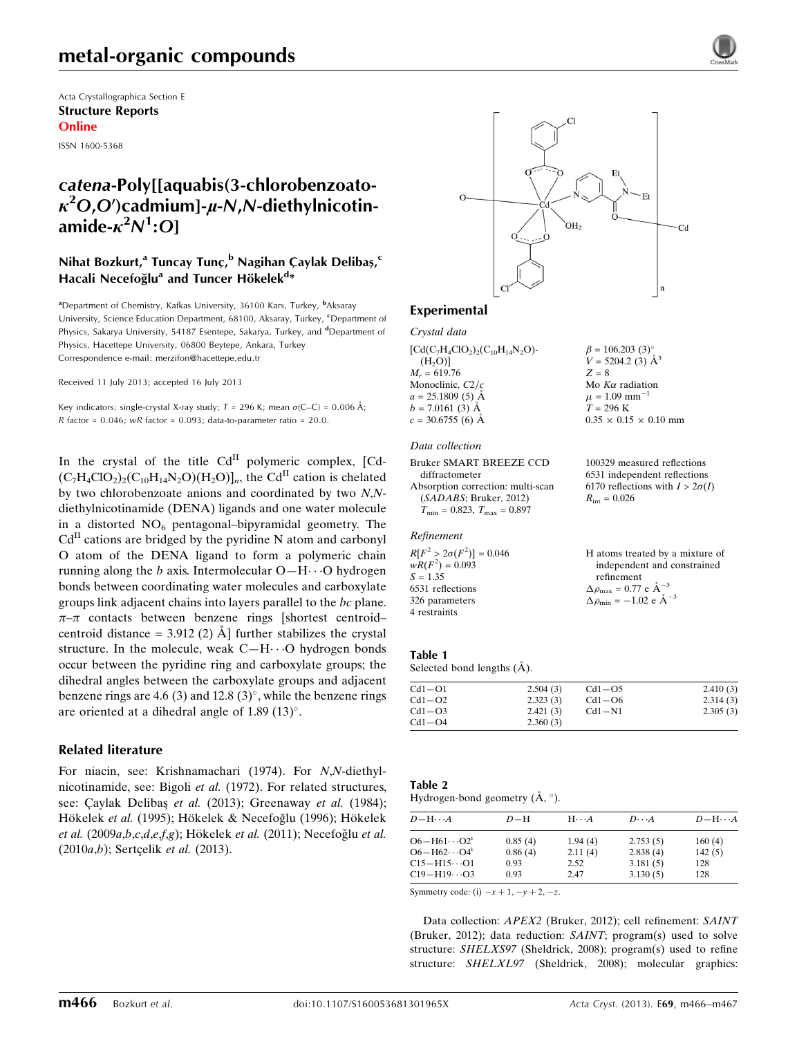Acta Crystallographica Section E Structure Reports Online

ISSN 1600-5368

## catena-Poly[[aquabis(3-chlorobenzoato- $\kappa^2$ O,O')cadmium]- $\mu$ -N,N-diethylnicotinamide- $\kappa^2 N^1$ :O]

#### Nihat Bozkurt,<sup>a</sup> Tuncay Tunç,<sup>b</sup> Nagihan Çaylak Delibaş,<sup>c</sup> Hacali Necefoğlu<sup>a</sup> and Tuncer Hökelek<sup>d</sup>\*

<sup>a</sup>Department of Chemistry, Kafkas University, 36100 Kars, Turkey, <sup>b</sup>Aksaray University, Science Education Department, 68100, Aksaray, Turkey, CDepartment of Physics, Sakarya University, 54187 Esentepe, Sakarya, Turkey, and <sup>d</sup>Department of Physics, Hacettepe University, 06800 Beytepe, Ankara, Turkey Correspondence e-mail: [merzifon@hacettepe.edu.tr](https://scripts.iucr.org/cgi-bin/cr.cgi?rm=pdfbb&cnor=xu5721&bbid=BB21)

Received 11 July 2013; accepted 16 July 2013

Key indicators: single-crystal X-ray study;  $T = 296$  K; mean  $\sigma$ (C–C) = 0.006 Å; R factor =  $0.046$ ; wR factor =  $0.093$ ; data-to-parameter ratio =  $20.0$ .

In the crystal of the title Cd<sup>II</sup> polymeric complex, [Cd- $(C_7H_4ClO_2)_2(C_{10}H_{14}N_2O)(H_2O)]_n$ , the Cd<sup>II</sup> cation is chelated by two chlorobenzoate anions and coordinated by two N,Ndiethylnicotinamide (DENA) ligands and one water molecule in a distorted  $NO<sub>6</sub>$  pentagonal–bipyramidal geometry. The  $Cd<sup>H</sup>$  cations are bridged by the pyridine N atom and carbonyl O atom of the DENA ligand to form a polymeric chain running along the *b* axis. Intermolecular  $O-H \cdots O$  hydrogen bonds between coordinating water molecules and carboxylate groups link adjacent chains into layers parallel to the bc plane.  $\pi-\pi$  contacts between benzene rings [shortest centroid– centroid distance =  $3.912(2)$  Å further stabilizes the crystal structure. In the molecule, weak  $C-H\cdots O$  hydrogen bonds occur between the pyridine ring and carboxylate groups; the dihedral angles between the carboxylate groups and adjacent benzene rings are 4.6 (3) and 12.8 (3)°, while the benzene rings are oriented at a dihedral angle of  $1.89$  ( $13$ )°.

#### Related literature

For niacin, see: Krishnamachari (1974). For N,N-diethylnicotinamide, see: Bigoli et al. (1972). For related structures, see: Çaylak Delibaş et al. (2013); Greenaway et al. (1984); Hökelek et al. (1995); Hökelek & Necefoğlu (1996); Hökelek et al. (2009 $a,b,c,d,e,f,g$ ); Hökelek et al. (2011); Necefoğlu et al.  $(2010a,b)$ ; Sertçelik *et al.*  $(2013)$ .



#### Experimental

Crystal data

 $[Cd(C<sub>7</sub>H<sub>4</sub>ClO<sub>2</sub>)<sub>2</sub>(C<sub>10</sub>H<sub>14</sub>N<sub>2</sub>O) (H<sub>2</sub>O)$ ]  $M_r = 619.76$ Monoclinic,  $C2/c$  $a = 25.1809(5)$  Å  $b = 7.0161(3)$  Å  $c = 30.6755(6)$  Å

#### Data collection

Bruker SMART BREEZE CCD diffractometer Absorption correction: multi-scan (SADABS; Bruker, 2012)  $T_{\text{min}} = 0.823$ ,  $T_{\text{max}} = 0.897$ 

#### Refinement

 $R[F^2 > 2\sigma(F^2)] = 0.046$ <br>  $wR(F^2) = 0.093$  $S = 1.35$ 6531 reflections 326 parameters 4 restraints

100329 measured reflections 6531 independent reflections 6170 reflections with  $I > 2\sigma(I)$  $R_{\text{int}} = 0.026$ 

 $0.35 \times 0.15 \times 0.10$  mm

 $\beta = 106.203$  (3)<sup>o</sup>  $V = 5204.2$  (3)  $\AA^3$ 

 $Z = 8$ Mo  $K\alpha$  radiation  $\mu$  = 1.09 mm<sup>-1</sup>  $T = 296 K$ 

| H atoms treated by a mixture of                              |
|--------------------------------------------------------------|
| independent and constrained                                  |
| refinement                                                   |
| $\Delta \rho_{\text{max}} = 0.77 \text{ e } \text{\AA}^{-3}$ |
| $\Delta \rho_{\text{min}} = -1.02$ e $\AA^{-3}$              |

#### Table 1

Selected bond lengths  $(A)$ .

| 2.410(3)<br>$Cd1 - O5$ |
|------------------------|
| 2.314(3)<br>$Cd1 - O6$ |
| 2.305(3)<br>$Cd1-N1$   |
|                        |
|                        |

| Table 2                                       |  |
|-----------------------------------------------|--|
| Hydrogen-bond geometry $(\dot{A}, \degree)$ . |  |

| $D - H \cdots A$                  | $D-H$   | $H \cdot \cdot \cdot A$ | $D\cdots A$ | $D - H \cdots A$ |
|-----------------------------------|---------|-------------------------|-------------|------------------|
| $O6 - H61 \cdots O21$             | 0.85(4) | 1.94(4)                 | 2.753(5)    | 160(4)           |
| $O6 - H62 \cdots O4$ <sup>1</sup> | 0.86(4) | 2.11(4)                 | 2.838(4)    | 142(5)           |
| $C15 - H15 \cdots O1$             | 0.93    | 2.52                    | 3.181(5)    | 128              |
| $C19 - H19 \cdots O3$             | 0.93    | 2.47                    | 3.130(5)    | 128              |

Symmetry code: (i)  $-x + 1$ ,  $-y + 2$ ,  $-z$ .

Data collection: APEX2 (Bruker, 2012); cell refinement: SAINT (Bruker, 2012); data reduction: SAINT; program(s) used to solve structure: SHELXS97 (Sheldrick, 2008); program(s) used to refine structure: SHELXL97 (Sheldrick, 2008); molecular graphics: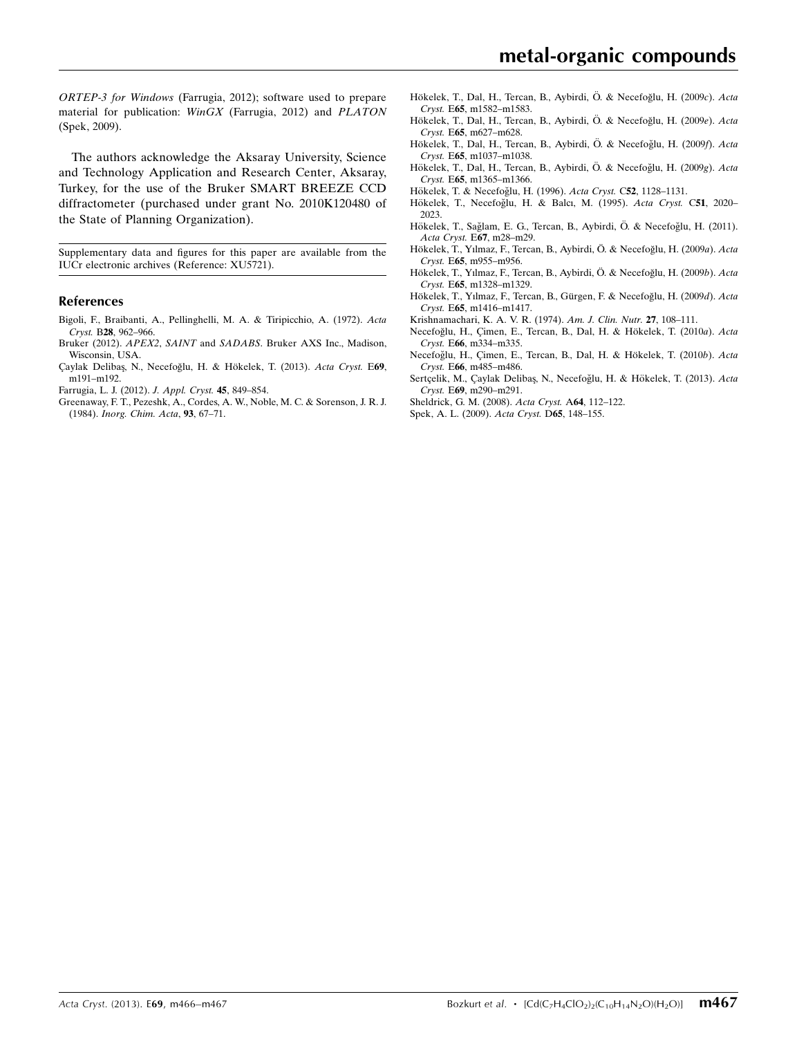ORTEP-3 for Windows (Farrugia, 2012); software used to prepare material for publication: WinGX (Farrugia, 2012) and PLATON (Spek, 2009).

The authors acknowledge the Aksaray University, Science and Technology Application and Research Center, Aksaray, Turkey, for the use of the Bruker SMART BREEZE CCD diffractometer (purchased under grant No. 2010K120480 of the State of Planning Organization).

Supplementary data and figures for this paper are available from the IUCr electronic archives (Reference: XU5721).

#### References

- [Bigoli, F., Braibanti, A., Pellinghelli, M. A. & Tiripicchio, A. \(1972\).](https://scripts.iucr.org/cgi-bin/cr.cgi?rm=pdfbb&cnor=xu5721&bbid=BB1) Acta Cryst. B28[, 962–966.](https://scripts.iucr.org/cgi-bin/cr.cgi?rm=pdfbb&cnor=xu5721&bbid=BB1)
- Bruker (2012). APEX2, SAINT and SADABS[. Bruker AXS Inc., Madison,](https://scripts.iucr.org/cgi-bin/cr.cgi?rm=pdfbb&cnor=xu5721&bbid=BB2) [Wisconsin, USA.](https://scripts.iucr.org/cgi-bin/cr.cgi?rm=pdfbb&cnor=xu5721&bbid=BB2)
- Çaylak Delibaş, N., Necefoğlu, H. & Hökelek, T. (2013). Acta Cryst. E69, [m191–m192.](https://scripts.iucr.org/cgi-bin/cr.cgi?rm=pdfbb&cnor=xu5721&bbid=BB3)
- [Farrugia, L. J. \(2012\).](https://scripts.iucr.org/cgi-bin/cr.cgi?rm=pdfbb&cnor=xu5721&bbid=BB4) J. Appl. Cryst. 45, 849–854.
- [Greenaway, F. T., Pezeshk, A., Cordes, A. W., Noble, M. C. & Sorenson, J. R. J.](https://scripts.iucr.org/cgi-bin/cr.cgi?rm=pdfbb&cnor=xu5721&bbid=BB5) (1984). [Inorg. Chim. Acta](https://scripts.iucr.org/cgi-bin/cr.cgi?rm=pdfbb&cnor=xu5721&bbid=BB5), 93, 67–71.
- Hökelek, T., Dal, H., Tercan, B., Aybirdi, Ö. & Necefoğlu, H. (2009c). Acta Cryst. E65[, m1582–m1583.](https://scripts.iucr.org/cgi-bin/cr.cgi?rm=pdfbb&cnor=xu5721&bbid=BB6)
- Hökelek, T., Dal, H., Tercan, B., Aybirdi, Ö. & Necefoğlu, H. (2009e). Acta Cryst. E65[, m627–m628.](https://scripts.iucr.org/cgi-bin/cr.cgi?rm=pdfbb&cnor=xu5721&bbid=BB7)
- Hökelek, T., Dal, H., Tercan, B., Aybirdi, Ö. & Necefoğlu, H. (2009f). Acta Cryst. E65[, m1037–m1038.](https://scripts.iucr.org/cgi-bin/cr.cgi?rm=pdfbb&cnor=xu5721&bbid=BB8)
- Hökelek, T., Dal, H., Tercan, B., Aybirdi, Ö. & Necefoğlu, H. (2009g). Acta Cryst. E65[, m1365–m1366.](https://scripts.iucr.org/cgi-bin/cr.cgi?rm=pdfbb&cnor=xu5721&bbid=BB9)
- Hökelek, T. & Necefoğlu, H. (1996). Acta Cryst. C52, 1128-1131.
- Hökelek, T., Necefoğlu, H. & Balcı, M. (1995). Acta Cryst. C51, 2020-[2023.](https://scripts.iucr.org/cgi-bin/cr.cgi?rm=pdfbb&cnor=xu5721&bbid=BB11)
- Hökelek, T., Sağlam, E. G., Tercan, B., Aybirdi, Ö. & Necefoğlu, H. (2011). Acta Cryst. E67[, m28–m29.](https://scripts.iucr.org/cgi-bin/cr.cgi?rm=pdfbb&cnor=xu5721&bbid=BB12)
- Hökelek, T., Yılmaz, F., Tercan, B., Aybirdi, Ö. & Necefoğlu, H. (2009a). Acta Cryst. E65[, m955–m956.](https://scripts.iucr.org/cgi-bin/cr.cgi?rm=pdfbb&cnor=xu5721&bbid=BB13)
- Hökelek, T., Yılmaz, F., Tercan, B., Aybirdi, Ö. & Necefoğlu, H. (2009b). Acta Cryst. E65[, m1328–m1329.](https://scripts.iucr.org/cgi-bin/cr.cgi?rm=pdfbb&cnor=xu5721&bbid=BB14)
- Hökelek, T., Yılmaz, F., Tercan, B., Gürgen, F. & Necefoğlu, H. (2009d). Acta Cryst. E65[, m1416–m1417.](https://scripts.iucr.org/cgi-bin/cr.cgi?rm=pdfbb&cnor=xu5721&bbid=BB15)
- [Krishnamachari, K. A. V. R. \(1974\).](https://scripts.iucr.org/cgi-bin/cr.cgi?rm=pdfbb&cnor=xu5721&bbid=BB16) Am. J. Clin. Nutr. 27, 108–111.
- Necefoğlu, H., Çimen, E., Tercan, B., Dal, H. & Hökelek, T. (2010a). Acta Cryst. E66[, m334–m335.](https://scripts.iucr.org/cgi-bin/cr.cgi?rm=pdfbb&cnor=xu5721&bbid=BB17)
- Necefoğlu, H., Çimen, E., Tercan, B., Dal, H. & Hökelek, T. (2010b). Acta Cryst. E66[, m485–m486.](https://scripts.iucr.org/cgi-bin/cr.cgi?rm=pdfbb&cnor=xu5721&bbid=BB18)
- Sertçelik, M., Çaylak Delibaş, N., Necefoğlu, H. & Hökelek, T. (2013). Acta Cryst. E69[, m290–m291.](https://scripts.iucr.org/cgi-bin/cr.cgi?rm=pdfbb&cnor=xu5721&bbid=BB19)
- [Sheldrick, G. M. \(2008\).](https://scripts.iucr.org/cgi-bin/cr.cgi?rm=pdfbb&cnor=xu5721&bbid=BB20) Acta Cryst. A64, 112–122.
- [Spek, A. L. \(2009\).](https://scripts.iucr.org/cgi-bin/cr.cgi?rm=pdfbb&cnor=xu5721&bbid=BB21) Acta Cryst. D65, 148–155.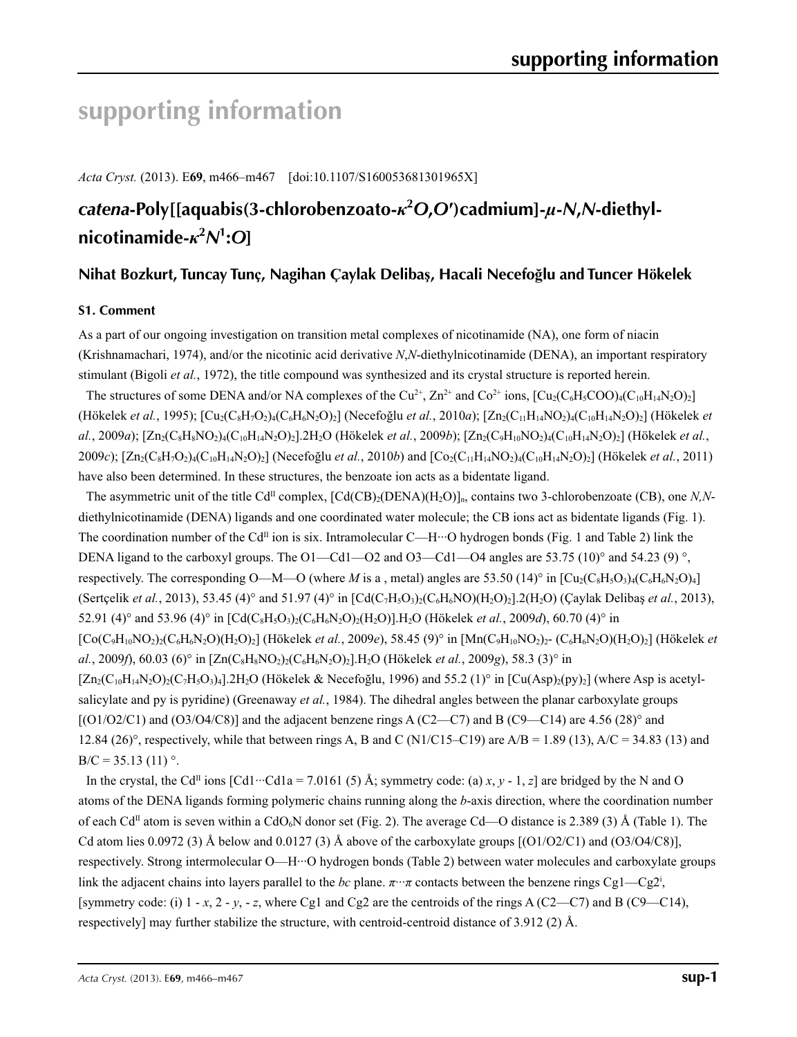# **supporting information**

*Acta Cryst.* (2013). E**69**, m466–m467 [doi:10.1107/S160053681301965X]

# *catena***-Poly[[aquabis(3-chlorobenzoato-***κ***<sup>2</sup>** *O***,***O***′)cadmium]-***µ***-***N***,***N***-diethylnicotinamide-***κ***<sup>2</sup>** *N***1 :***O***]**

### **Nihat Bozkurt, Tuncay Tunç, Nagihan Çaylak Delibaş, Hacali Necefoğlu and Tuncer Hökelek**

#### **S1. Comment**

As a part of our ongoing investigation on transition metal complexes of nicotinamide (NA), one form of niacin (Krishnamachari, 1974), and/or the nicotinic acid derivative *N*,*N*-diethylnicotinamide (DENA), an important respiratory stimulant (Bigoli *et al.*, 1972), the title compound was synthesized and its crystal structure is reported herein.

The structures of some DENA and/or NA complexes of the Cu<sup>2+</sup>, Zn<sup>2+</sup> and Co<sup>2+</sup> ions,  $[Cu_2(C_6H_5COO)_4(C_{10}H_{14}N_2O)_2]$  $(Hökelek *et al.*, 1995);  $[Cu_2(C_8H_7O_2)_4(C_6H_6N_2O)_2]$  (Necefoglu *et al.*, 2010*a*);  $[Zn_2(C_{11}H_{14}NO_2)_4(C_{10}H_{14}N_2O)_2]$  (Hökelek *et al.*$ *al.*, 2009*a*); [Zn2(C8H8NO2)4(C10H14N2O)2].2H2O (Hökelek *et al.*, 2009*b*); [Zn2(C9H10NO2)4(C10H14N2O)2] (Hökelek *et al.*, 2009*c*);  $[Zn_2(C_8H_7O_2)_4(C_{10}H_{14}N_2O)_2]$  (Necefoğlu *et al.*, 2010*b*) and  $[Co_2(C_{11}H_{14}NO_2)_4(C_{10}H_{14}N_2O)_2]$  (Hökelek *et al.*, 2011) have also been determined. In these structures, the benzoate ion acts as a bidentate ligand.

The asymmetric unit of the title  $Cd^{II}$  complex,  $[Cd(CB)_{2}(DENA)(H_{2}O)]_{n}$ , contains two 3-chlorobenzoate (CB), one *N,N*diethylnicotinamide (DENA) ligands and one coordinated water molecule; the CB ions act as bidentate ligands (Fig. 1). The coordination number of the Cd<sup>II</sup> ion is six. Intramolecular C—H···O hydrogen bonds (Fig. 1 and Table 2) link the DENA ligand to the carboxyl groups. The O1—Cd1—O2 and O3—Cd1—O4 angles are 53.75 (10)° and 54.23 (9)°, respectively. The corresponding O—M—O (where *M* is a, metal) angles are 53.50 (14)° in  $\left[\text{Cu}_2(\text{C}_8\text{H}_5\text{O}_3)_4(\text{C}_6\text{H}_6\text{N}_2\text{O})_4\right]$ (Sertcelik *et al.*, 2013), 53.45 (4)° and 51.97 (4)° in  $[\text{Cd}(C_7H_5O_3)(C_6H_6NO)(H_2O)_7]$ . (Caylak Delibas *et al.*, 2013), 52.91 (4)° and 53.96 (4)° in  $\left[ Cd(C_8H_5O_3)_2(C_6H_6N_2O)_2(H_2O)\right]H_2O$  (Hökelek *et al.*, 2009*d*), 60.70 (4)° in [Co(C9H10NO2)2(C6H6N2O)(H2O)2] (Hökelek *et al.*, 2009*e*), 58.45 (9)° in [Mn(C9H10NO2)2- (C6H6N2O)(H2O)2] (Hökelek *et al.*, 2009*f*), 60.03 (6)° in  $[Zn(C_8H_8NQ_2)(C_6H_6N_2Q)_2]$ . H<sub>2</sub>O (Hökelek *et al.*, 2009*g*), 58.3 (3)° in  $[Zn_2(C_{10}H_{14}N_2O)_2(C_7H_5O_3)_4]$ .2H<sub>2</sub>O (Hökelek & Necefoğlu, 1996) and 55.2 (1)<sup>o</sup> in  $[Cu(Asp)_2(py)_2]$  (where Asp is acetylsalicylate and py is pyridine) (Greenaway *et al.*, 1984). The dihedral angles between the planar carboxylate groups  $[(O1/O2/C1)$  and  $(O3/O4/C8)]$  and the adjacent benzene rings A (C2—C7) and B (C9—C14) are 4.56 (28)° and 12.84 (26)°, respectively, while that between rings A, B and C (N1/C15–C19) are A/B = 1.89 (13), A/C = 34.83 (13) and  $B/C = 35.13$  (11) °.

In the crystal, the Cd<sup>II</sup> ions  $\lceil \text{Cd1} \cdots \text{Cd1a} \rceil = 7.0161(5)$  Å; symmetry code: (a) *x*, *y* - 1, *z*] are bridged by the N and O atoms of the DENA ligands forming polymeric chains running along the *b*-axis direction, where the coordination number of each Cd<sup>II</sup> atom is seven within a CdO<sub>6</sub>N donor set (Fig. 2). The average Cd—O distance is 2.389 (3) Å (Table 1). The Cd atom lies 0.0972 (3) Å below and 0.0127 (3) Å above of the carboxylate groups  $[(O1/O2/C1)$  and  $(O3/O4/C8)]$ , respectively. Strong intermolecular O—H···O hydrogen bonds (Table 2) between water molecules and carboxylate groups link the adjacent chains into layers parallel to the *bc* plane.  $\pi \cdot \pi$  contacts between the benzene rings Cg1—Cg2<sup>i</sup>, [symmetry code: (i)  $1 - x$ ,  $2 - y$ ,  $- z$ , where Cg1 and Cg2 are the centroids of the rings A (C2—C7) and B (C9—C14), respectively] may further stabilize the structure, with centroid-centroid distance of 3.912 (2) Å.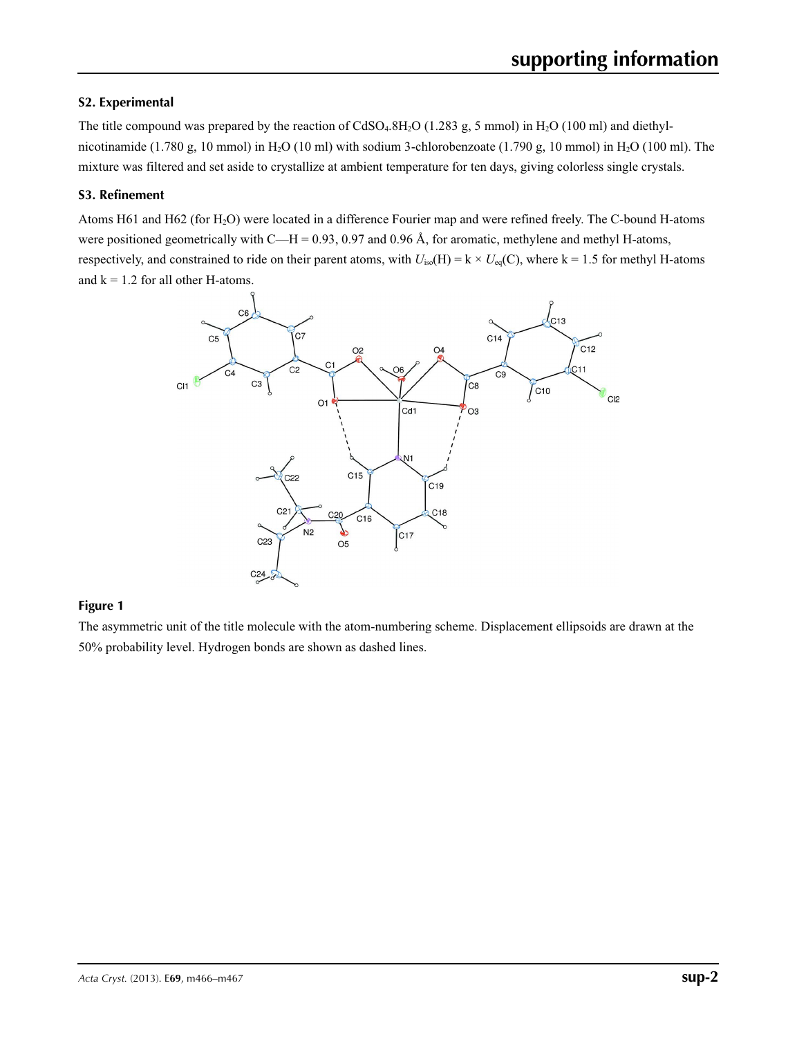#### **S2. Experimental**

The title compound was prepared by the reaction of  $C dSO_4.8H_2O$  (1.283 g, 5 mmol) in H<sub>2</sub>O (100 ml) and diethylnicotinamide (1.780 g, 10 mmol) in H<sub>2</sub>O (10 ml) with sodium 3-chlorobenzoate (1.790 g, 10 mmol) in H<sub>2</sub>O (100 ml). The mixture was filtered and set aside to crystallize at ambient temperature for ten days, giving colorless single crystals.

#### **S3. Refinement**

Atoms H61 and H62 (for H2O) were located in a difference Fourier map and were refined freely. The C-bound H-atoms were positioned geometrically with C—H = 0.93, 0.97 and 0.96 Å, for aromatic, methylene and methyl H-atoms, respectively, and constrained to ride on their parent atoms, with  $U_{iso}(H) = k \times U_{eq}(C)$ , where  $k = 1.5$  for methyl H-atoms and  $k = 1.2$  for all other H-atoms.



#### **Figure 1**

The asymmetric unit of the title molecule with the atom-numbering scheme. Displacement ellipsoids are drawn at the 50% probability level. Hydrogen bonds are shown as dashed lines.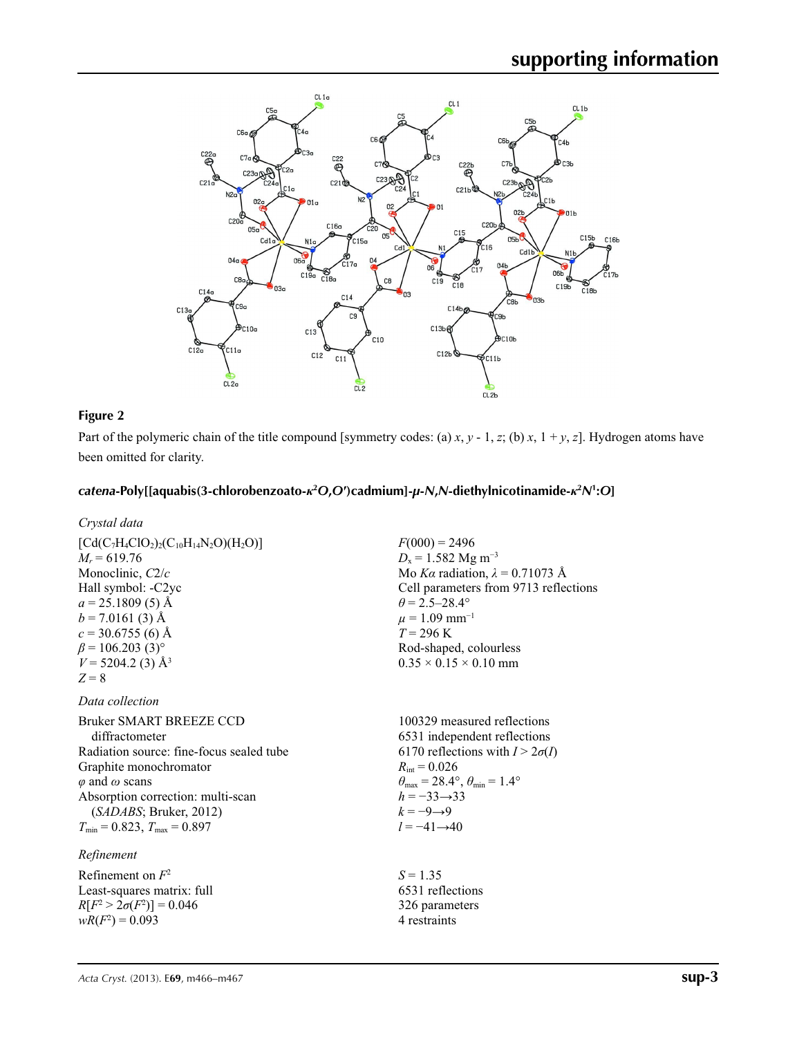

#### **Figure 2**

Part of the polymeric chain of the title compound [symmetry codes: (a) *x*, *y* - 1, *z*; (b) *x*, 1 + *y*, *z*]. Hydrogen atoms have been omitted for clarity.

> 326 parameters 4 restraints

#### catena-Poly[[aquabis(3-chlorobenzoato- $\kappa^2$ O,O')cadmium]-µ-N,N-diethylnicotinamide- $\kappa^2$ N<sup>1</sup>:O]

| $\left[ Cd(C_7H_4ClO_2)_2(C_{10}H_{14}N_2O)(H_2O)\right]$<br>$M_r = 619.76$<br>Monoclinic, $C2/c$<br>Hall symbol: -C2yc<br>$a = 25.1809(5)$ Å<br>$b = 7.0161(3)$ Å<br>$c = 30.6755(6)$ Å<br>$\beta$ = 106.203 (3) <sup>o</sup><br>$V = 5204.2$ (3) Å <sup>3</sup><br>$Z = 8$ | $F(000) = 2496$<br>$D_x = 1.582$ Mg m <sup>-3</sup><br>Mo Ka radiation, $\lambda = 0.71073$ Å<br>Cell parameters from 9713 reflections<br>$\theta$ = 2.5–28.4°<br>$\mu = 1.09$ mm <sup>-1</sup><br>$T = 296 \text{ K}$<br>Rod-shaped, colourless<br>$0.35 \times 0.15 \times 0.10$ mm          |
|------------------------------------------------------------------------------------------------------------------------------------------------------------------------------------------------------------------------------------------------------------------------------|------------------------------------------------------------------------------------------------------------------------------------------------------------------------------------------------------------------------------------------------------------------------------------------------|
| Data collection                                                                                                                                                                                                                                                              |                                                                                                                                                                                                                                                                                                |
| Bruker SMART BREEZE CCD<br>diffractometer<br>Radiation source: fine-focus sealed tube<br>Graphite monochromator<br>$\varphi$ and $\omega$ scans<br>Absorption correction: multi-scan<br>(SADABS; Bruker, 2012)<br>$T_{\min}$ = 0.823, $T_{\max}$ = 0.897                     | 100329 measured reflections<br>6531 independent reflections<br>6170 reflections with $I > 2\sigma(I)$<br>$R_{\text{int}} = 0.026$<br>$\theta_{\text{max}} = 28.4^{\circ}, \theta_{\text{min}} = 1.4^{\circ}$<br>$h = -33 \rightarrow 33$<br>$k = -9 \rightarrow 9$<br>$l = -41 \rightarrow 40$ |
| Refinement                                                                                                                                                                                                                                                                   |                                                                                                                                                                                                                                                                                                |
| Refinement on $F^2$<br>Least-squares matrix: full                                                                                                                                                                                                                            | $S = 1.35$<br>6531 reflections                                                                                                                                                                                                                                                                 |

Least-squares matrix: full *R*[ $F^2 > 2\sigma(F^2)$ ] = 0.046  $wR(F^2) = 0.093$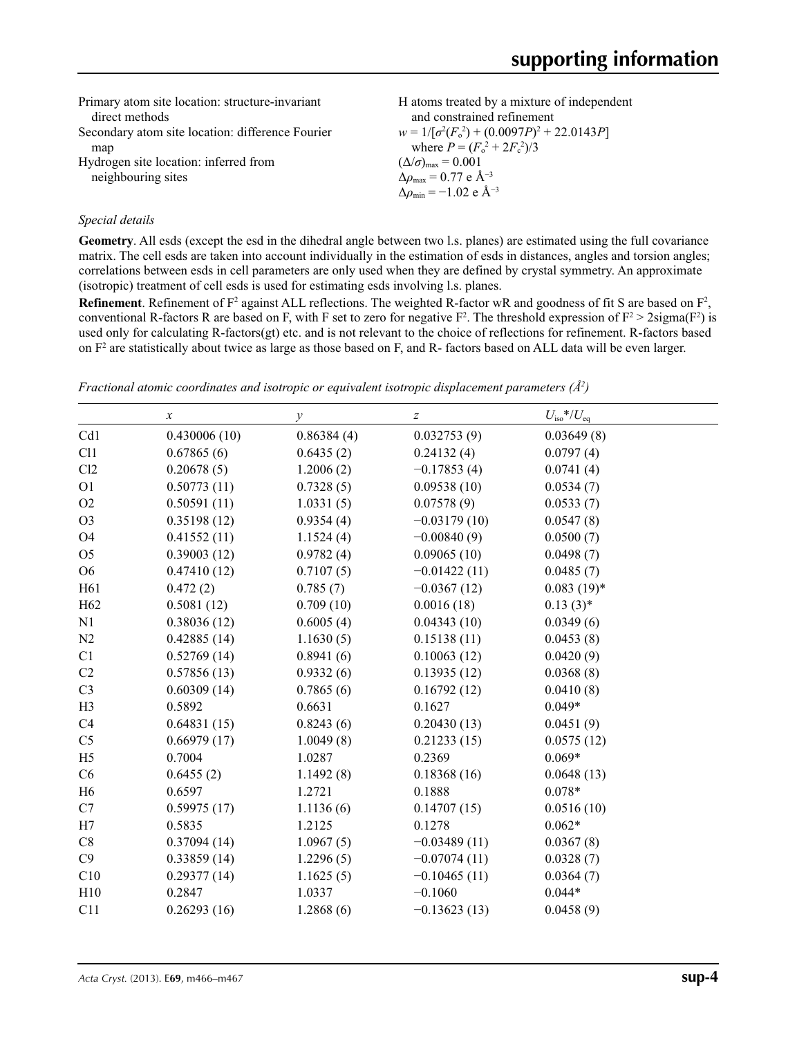| Primary atom site location: structure-invariant<br>direct methods | H atoms treated by a mixture of independent<br>and constrained refinement |
|-------------------------------------------------------------------|---------------------------------------------------------------------------|
| Secondary atom site location: difference Fourier                  | $w = 1/[\sigma^2(F_0^2) + (0.0097P)^2 + 22.0143P]$                        |
| map                                                               | where $P = (F_o^2 + 2F_c^2)/3$                                            |
| Hydrogen site location: inferred from                             | $(\Delta/\sigma)_{\text{max}} = 0.001$                                    |
| neighbouring sites                                                | $\Delta\rho_{\text{max}} = 0.77$ e Å <sup>-3</sup>                        |
|                                                                   | $\Delta\rho_{\rm min} = -1.02 \text{ e } \text{\AA}^{-3}$                 |

#### *Special details*

**Geometry**. All esds (except the esd in the dihedral angle between two l.s. planes) are estimated using the full covariance matrix. The cell esds are taken into account individually in the estimation of esds in distances, angles and torsion angles; correlations between esds in cell parameters are only used when they are defined by crystal symmetry. An approximate (isotropic) treatment of cell esds is used for estimating esds involving l.s. planes.

**Refinement**. Refinement of  $F^2$  against ALL reflections. The weighted R-factor wR and goodness of fit S are based on  $F^2$ , conventional R-factors R are based on F, with F set to zero for negative  $F^2$ . The threshold expression of  $F^2 > 2 \text{sigma}(F^2)$  is used only for calculating R-factors(gt) etc. and is not relevant to the choice of reflections for refinement. R-factors based on  $F<sup>2</sup>$  are statistically about twice as large as those based on F, and R- factors based on ALL data will be even larger.

|  | Fractional atomic coordinates and isotropic or equivalent isotropic displacement parameters $(A^2)$ |  |
|--|-----------------------------------------------------------------------------------------------------|--|
|--|-----------------------------------------------------------------------------------------------------|--|

|                 | $\boldsymbol{\chi}$ | $\mathcal{Y}$ | $\boldsymbol{Z}$ | $U_{\rm iso}*/U_{\rm eq}$ |
|-----------------|---------------------|---------------|------------------|---------------------------|
| Cd1             | 0.430006(10)        | 0.86384(4)    | 0.032753(9)      | 0.03649(8)                |
| C11             | 0.67865(6)          | 0.6435(2)     | 0.24132(4)       | 0.0797(4)                 |
| Cl2             | 0.20678(5)          | 1.2006(2)     | $-0.17853(4)$    | 0.0741(4)                 |
| O <sub>1</sub>  | 0.50773(11)         | 0.7328(5)     | 0.09538(10)      | 0.0534(7)                 |
| O2              | 0.50591(11)         | 1.0331(5)     | 0.07578(9)       | 0.0533(7)                 |
| O <sub>3</sub>  | 0.35198(12)         | 0.9354(4)     | $-0.03179(10)$   | 0.0547(8)                 |
| O <sub>4</sub>  | 0.41552(11)         | 1.1524(4)     | $-0.00840(9)$    | 0.0500(7)                 |
| O <sub>5</sub>  | 0.39003(12)         | 0.9782(4)     | 0.09065(10)      | 0.0498(7)                 |
| O <sub>6</sub>  | 0.47410(12)         | 0.7107(5)     | $-0.01422(11)$   | 0.0485(7)                 |
| H61             | 0.472(2)            | 0.785(7)      | $-0.0367(12)$    | $0.083(19)*$              |
| H <sub>62</sub> | 0.5081(12)          | 0.709(10)     | 0.0016(18)       | $0.13(3)^*$               |
| N1              | 0.38036(12)         | 0.6005(4)     | 0.04343(10)      | 0.0349(6)                 |
| N2              | 0.42885(14)         | 1.1630(5)     | 0.15138(11)      | 0.0453(8)                 |
| C1              | 0.52769(14)         | 0.8941(6)     | 0.10063(12)      | 0.0420(9)                 |
| C2              | 0.57856(13)         | 0.9332(6)     | 0.13935(12)      | 0.0368(8)                 |
| C <sub>3</sub>  | 0.60309(14)         | 0.7865(6)     | 0.16792(12)      | 0.0410(8)                 |
| H <sub>3</sub>  | 0.5892              | 0.6631        | 0.1627           | $0.049*$                  |
| C <sub>4</sub>  | 0.64831(15)         | 0.8243(6)     | 0.20430(13)      | 0.0451(9)                 |
| C <sub>5</sub>  | 0.66979(17)         | 1.0049(8)     | 0.21233(15)      | 0.0575(12)                |
| H <sub>5</sub>  | 0.7004              | 1.0287        | 0.2369           | $0.069*$                  |
| C6              | 0.6455(2)           | 1.1492(8)     | 0.18368(16)      | 0.0648(13)                |
| H <sub>6</sub>  | 0.6597              | 1.2721        | 0.1888           | $0.078*$                  |
| C7              | 0.59975(17)         | 1.1136(6)     | 0.14707(15)      | 0.0516(10)                |
| H7              | 0.5835              | 1.2125        | 0.1278           | $0.062*$                  |
| C8              | 0.37094(14)         | 1.0967(5)     | $-0.03489(11)$   | 0.0367(8)                 |
| C9              | 0.33859(14)         | 1.2296(5)     | $-0.07074(11)$   | 0.0328(7)                 |
| C10             | 0.29377(14)         | 1.1625(5)     | $-0.10465(11)$   | 0.0364(7)                 |
| H10             | 0.2847              | 1.0337        | $-0.1060$        | $0.044*$                  |
| C11             | 0.26293(16)         | 1.2868(6)     | $-0.13623(13)$   | 0.0458(9)                 |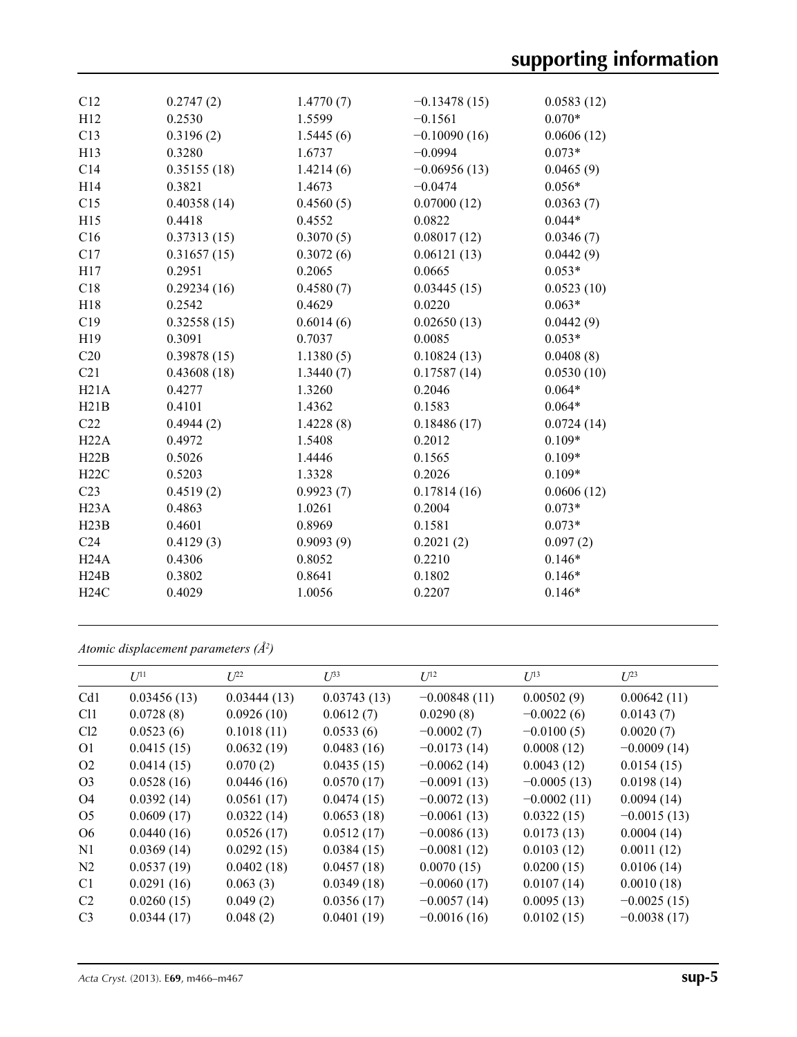| C12             | 0.2747(2)   | 1.4770(7) | $-0.13478(15)$ | 0.0583(12) |
|-----------------|-------------|-----------|----------------|------------|
| H12             | 0.2530      | 1.5599    | $-0.1561$      | $0.070*$   |
| C13             | 0.3196(2)   | 1.5445(6) | $-0.10090(16)$ | 0.0606(12) |
| H13             | 0.3280      | 1.6737    | $-0.0994$      | $0.073*$   |
| C14             | 0.35155(18) | 1.4214(6) | $-0.06956(13)$ | 0.0465(9)  |
| H14             | 0.3821      | 1.4673    | $-0.0474$      | $0.056*$   |
| C15             | 0.40358(14) | 0.4560(5) | 0.07000(12)    | 0.0363(7)  |
| H15             | 0.4418      | 0.4552    | 0.0822         | $0.044*$   |
| C16             | 0.37313(15) | 0.3070(5) | 0.08017(12)    | 0.0346(7)  |
| C17             | 0.31657(15) | 0.3072(6) | 0.06121(13)    | 0.0442(9)  |
| H17             | 0.2951      | 0.2065    | 0.0665         | $0.053*$   |
| C18             | 0.29234(16) | 0.4580(7) | 0.03445(15)    | 0.0523(10) |
| H18             | 0.2542      | 0.4629    | 0.0220         | $0.063*$   |
| C19             | 0.32558(15) | 0.6014(6) | 0.02650(13)    | 0.0442(9)  |
| H19             | 0.3091      | 0.7037    | 0.0085         | $0.053*$   |
| C20             | 0.39878(15) | 1.1380(5) | 0.10824(13)    | 0.0408(8)  |
| C21             | 0.43608(18) | 1.3440(7) | 0.17587(14)    | 0.0530(10) |
| H21A            | 0.4277      | 1.3260    | 0.2046         | $0.064*$   |
| H21B            | 0.4101      | 1.4362    | 0.1583         | $0.064*$   |
| C22             | 0.4944(2)   | 1.4228(8) | 0.18486(17)    | 0.0724(14) |
| H22A            | 0.4972      | 1.5408    | 0.2012         | $0.109*$   |
| H22B            | 0.5026      | 1.4446    | 0.1565         | $0.109*$   |
| H22C            | 0.5203      | 1.3328    | 0.2026         | $0.109*$   |
| C <sub>23</sub> | 0.4519(2)   | 0.9923(7) | 0.17814(16)    | 0.0606(12) |
| H23A            | 0.4863      | 1.0261    | 0.2004         | $0.073*$   |
| H23B            | 0.4601      | 0.8969    | 0.1581         | $0.073*$   |
| C <sub>24</sub> | 0.4129(3)   | 0.9093(9) | 0.2021(2)      | 0.097(2)   |
| H24A            | 0.4306      | 0.8052    | 0.2210         | $0.146*$   |
| H24B            | 0.3802      | 0.8641    | 0.1802         | $0.146*$   |
| H24C            | 0.4029      | 1.0056    | 0.2207         | $0.146*$   |
|                 |             |           |                |            |

*Atomic displacement parameters (Å2 )*

|                 | $U^{11}$    | $U^{22}$    | $U^{33}$    | $U^{12}$       | $U^{13}$      | $U^{23}$      |
|-----------------|-------------|-------------|-------------|----------------|---------------|---------------|
| Cd1             | 0.03456(13) | 0.03444(13) | 0.03743(13) | $-0.00848(11)$ | 0.00502(9)    | 0.00642(11)   |
| C <sub>11</sub> | 0.0728(8)   | 0.0926(10)  | 0.0612(7)   | 0.0290(8)      | $-0.0022(6)$  | 0.0143(7)     |
| Cl2             | 0.0523(6)   | 0.1018(11)  | 0.0533(6)   | $-0.0002(7)$   | $-0.0100(5)$  | 0.0020(7)     |
| 01              | 0.0415(15)  | 0.0632(19)  | 0.0483(16)  | $-0.0173(14)$  | 0.0008(12)    | $-0.0009(14)$ |
| O <sub>2</sub>  | 0.0414(15)  | 0.070(2)    | 0.0435(15)  | $-0.0062(14)$  | 0.0043(12)    | 0.0154(15)    |
| O <sub>3</sub>  | 0.0528(16)  | 0.0446(16)  | 0.0570(17)  | $-0.0091(13)$  | $-0.0005(13)$ | 0.0198(14)    |
| O4              | 0.0392(14)  | 0.0561(17)  | 0.0474(15)  | $-0.0072(13)$  | $-0.0002(11)$ | 0.0094(14)    |
| O <sub>5</sub>  | 0.0609(17)  | 0.0322(14)  | 0.0653(18)  | $-0.0061(13)$  | 0.0322(15)    | $-0.0015(13)$ |
| O <sub>6</sub>  | 0.0440(16)  | 0.0526(17)  | 0.0512(17)  | $-0.0086(13)$  | 0.0173(13)    | 0.0004(14)    |
| N <sub>1</sub>  | 0.0369(14)  | 0.0292(15)  | 0.0384(15)  | $-0.0081(12)$  | 0.0103(12)    | 0.0011(12)    |
| N <sub>2</sub>  | 0.0537(19)  | 0.0402(18)  | 0.0457(18)  | 0.0070(15)     | 0.0200(15)    | 0.0106(14)    |
| C <sub>1</sub>  | 0.0291(16)  | 0.063(3)    | 0.0349(18)  | $-0.0060(17)$  | 0.0107(14)    | 0.0010(18)    |
| C <sub>2</sub>  | 0.0260(15)  | 0.049(2)    | 0.0356(17)  | $-0.0057(14)$  | 0.0095(13)    | $-0.0025(15)$ |
| C <sub>3</sub>  | 0.0344(17)  | 0.048(2)    | 0.0401(19)  | $-0.0016(16)$  | 0.0102(15)    | $-0.0038(17)$ |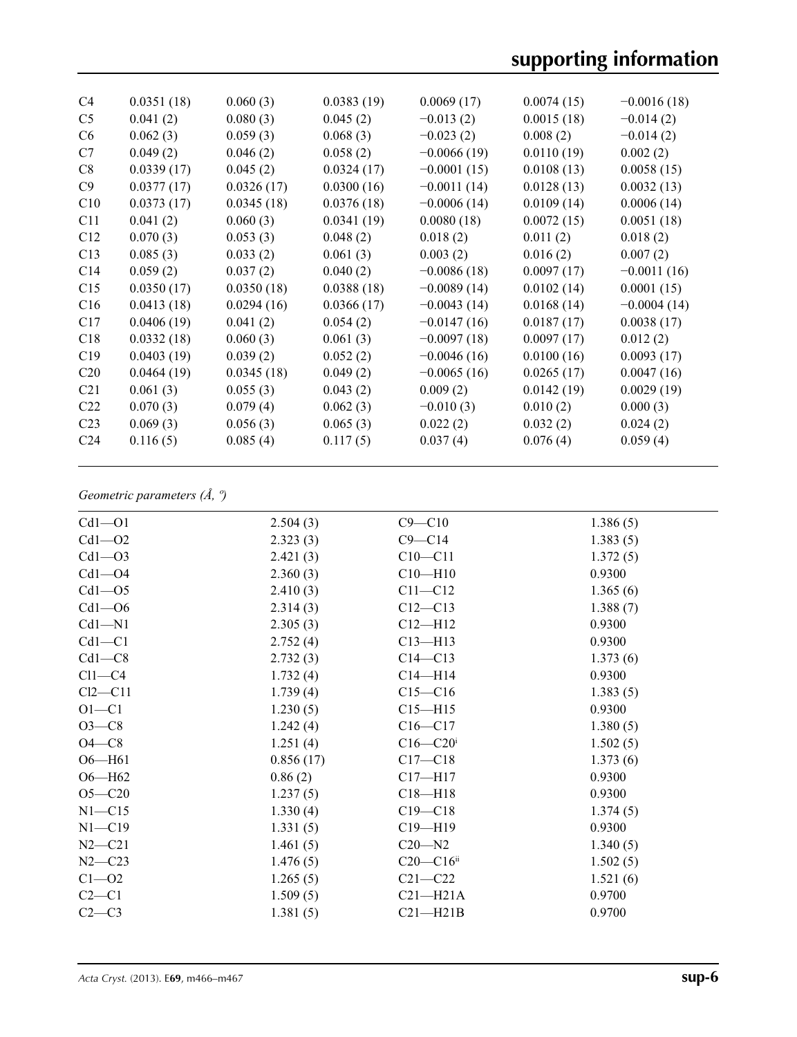# **supporting information**

| C <sub>4</sub>  | 0.0351(18) | 0.060(3)   | 0.0383(19) | 0.0069(17)    | 0.0074(15) | $-0.0016(18)$ |
|-----------------|------------|------------|------------|---------------|------------|---------------|
| C <sub>5</sub>  | 0.041(2)   | 0.080(3)   | 0.045(2)   | $-0.013(2)$   | 0.0015(18) | $-0.014(2)$   |
| C <sub>6</sub>  | 0.062(3)   | 0.059(3)   | 0.068(3)   | $-0.023(2)$   | 0.008(2)   | $-0.014(2)$   |
| C7              | 0.049(2)   | 0.046(2)   | 0.058(2)   | $-0.0066(19)$ | 0.0110(19) | 0.002(2)      |
| C8              | 0.0339(17) | 0.045(2)   | 0.0324(17) | $-0.0001(15)$ | 0.0108(13) | 0.0058(15)    |
| C9              | 0.0377(17) | 0.0326(17) | 0.0300(16) | $-0.0011(14)$ | 0.0128(13) | 0.0032(13)    |
| C10             | 0.0373(17) | 0.0345(18) | 0.0376(18) | $-0.0006(14)$ | 0.0109(14) | 0.0006(14)    |
| C <sub>11</sub> | 0.041(2)   | 0.060(3)   | 0.0341(19) | 0.0080(18)    | 0.0072(15) | 0.0051(18)    |
| C12             | 0.070(3)   | 0.053(3)   | 0.048(2)   | 0.018(2)      | 0.011(2)   | 0.018(2)      |
| C13             | 0.085(3)   | 0.033(2)   | 0.061(3)   | 0.003(2)      | 0.016(2)   | 0.007(2)      |
| C14             | 0.059(2)   | 0.037(2)   | 0.040(2)   | $-0.0086(18)$ | 0.0097(17) | $-0.0011(16)$ |
| C15             | 0.0350(17) | 0.0350(18) | 0.0388(18) | $-0.0089(14)$ | 0.0102(14) | 0.0001(15)    |
| C16             | 0.0413(18) | 0.0294(16) | 0.0366(17) | $-0.0043(14)$ | 0.0168(14) | $-0.0004(14)$ |
| C17             | 0.0406(19) | 0.041(2)   | 0.054(2)   | $-0.0147(16)$ | 0.0187(17) | 0.0038(17)    |
| C18             | 0.0332(18) | 0.060(3)   | 0.061(3)   | $-0.0097(18)$ | 0.0097(17) | 0.012(2)      |
| C19             | 0.0403(19) | 0.039(2)   | 0.052(2)   | $-0.0046(16)$ | 0.0100(16) | 0.0093(17)    |
| C <sub>20</sub> | 0.0464(19) | 0.0345(18) | 0.049(2)   | $-0.0065(16)$ | 0.0265(17) | 0.0047(16)    |
| C <sub>21</sub> | 0.061(3)   | 0.055(3)   | 0.043(2)   | 0.009(2)      | 0.0142(19) | 0.0029(19)    |
| C <sub>22</sub> | 0.070(3)   | 0.079(4)   | 0.062(3)   | $-0.010(3)$   | 0.010(2)   | 0.000(3)      |
| C <sub>23</sub> | 0.069(3)   | 0.056(3)   | 0.065(3)   | 0.022(2)      | 0.032(2)   | 0.024(2)      |
| C <sub>24</sub> | 0.116(5)   | 0.085(4)   | 0.117(5)   | 0.037(4)      | 0.076(4)   | 0.059(4)      |
|                 |            |            |            |               |            |               |

### *Geometric parameters (Å, º)*

| $Cd1 - O1$ | 2.504(3)  | $C9 - C10$                | 1.386(5) |
|------------|-----------|---------------------------|----------|
| $Cd1 - O2$ | 2.323(3)  | $C9 - C14$                | 1.383(5) |
| $Cd1 - O3$ | 2.421(3)  | $C10 - C11$               | 1.372(5) |
| $Cd1 - O4$ | 2.360(3)  | $C10 - H10$               | 0.9300   |
| $Cd1 - 05$ | 2.410(3)  | $C11 - C12$               | 1.365(6) |
| $Cd1 - 06$ | 2.314(3)  | $C12 - C13$               | 1.388(7) |
| $Cd1 - N1$ | 2.305(3)  | $C12 - H12$               | 0.9300   |
| $Cd1 - C1$ | 2.752(4)  | $C13 - H13$               | 0.9300   |
| $Cd1 - C8$ | 2.732(3)  | $C14 - C13$               | 1.373(6) |
| $Cl1-C4$   | 1.732(4)  | $C14 - H14$               | 0.9300   |
| $Cl2-C11$  | 1.739(4)  | $C15 - C16$               | 1.383(5) |
| $O1 - C1$  | 1.230(5)  | $C15 - H15$               | 0.9300   |
| $O3-C8$    | 1.242(4)  | $C16 - C17$               | 1.380(5) |
| $O4 - C8$  | 1.251(4)  | $C16 - C20$ <sup>i</sup>  | 1.502(5) |
| $O6 - H61$ | 0.856(17) | $C17 - C18$               | 1.373(6) |
| $O6 - H62$ | 0.86(2)   | $C17 - H17$               | 0.9300   |
| $O5 - C20$ | 1.237(5)  | $C18 - H18$               | 0.9300   |
| $N1 - C15$ | 1.330(4)  | $C19 - C18$               | 1.374(5) |
| $N1 - C19$ | 1.331(5)  | $C19 - H19$               | 0.9300   |
| $N2 - C21$ | 1.461(5)  | $C20 - N2$                | 1.340(5) |
| $N2 - C23$ | 1.476(5)  | $C20 - C16$ <sup>ii</sup> | 1.502(5) |
| $C1 - 02$  | 1.265(5)  | $C21 - C22$               | 1.521(6) |
| $C2-C1$    | 1.509(5)  | $C21 - H21A$              | 0.9700   |
| $C2-C3$    | 1.381(5)  | $C21 - H21B$              | 0.9700   |
|            |           |                           |          |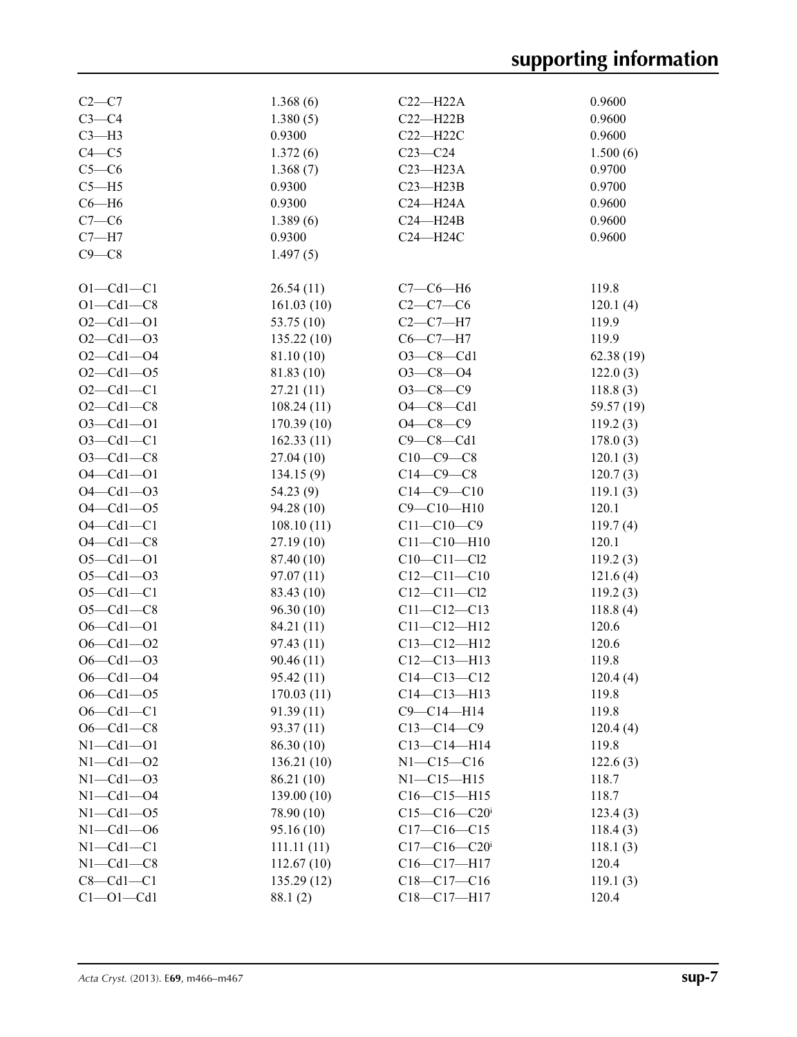# **supporting information**

| $C2-C7$         | 1.368(6)    | $C22-H22A$        | 0.9600     |
|-----------------|-------------|-------------------|------------|
| $C3-C4$         | 1.380(5)    | $C22 - H22B$      | 0.9600     |
| $C3-H3$         | 0.9300      | $C22 - H22C$      | 0.9600     |
| $C4 - C5$       | 1.372(6)    | $C23-C24$         | 1.500(6)   |
| $C5-C6$         | 1.368(7)    | $C23 - H23A$      | 0.9700     |
| $C5 - H5$       | 0.9300      | $C23 - H23B$      | 0.9700     |
| $C6 - H6$       | 0.9300      | $C24 - H24A$      | 0.9600     |
| $C7-C6$         | 1.389(6)    | $C24 - H24B$      | 0.9600     |
| $C7 - H7$       | 0.9300      | C24-H24C          | 0.9600     |
| $C9 - C8$       | 1.497(5)    |                   |            |
|                 |             |                   |            |
| $O1 - Cd1 - C1$ | 26.54(11)   | $C7-C6-H6$        | 119.8      |
| $O1 - Cd1 - C8$ | 161.03(10)  | $C2-C7-C6$        | 120.1(4)   |
| $O2 - Cd1 - O1$ | 53.75 (10)  | $C2-C7-H7$        | 119.9      |
| $O2 - Cd1 - O3$ | 135.22(10)  | $C6-C7-H7$        | 119.9      |
| $O2 - Cd1 - O4$ | 81.10 (10)  | $O3 - C8 - Cd1$   | 62.38(19)  |
| $O2 - Cd1 - O5$ | 81.83 (10)  | $O3 - C8 - O4$    | 122.0(3)   |
| $O2 - Cd1 - C1$ | 27.21(11)   | $O3-C8-C9$        |            |
| $O2 - Cd1 - C8$ |             | $O4 - C8 - Cd1$   | 118.8(3)   |
|                 | 108.24(11)  | $O4 - C8 - C9$    | 59.57 (19) |
| $O3 - Cd1 - O1$ | 170.39(10)  |                   | 119.2(3)   |
| $O3 - Cd1 - C1$ | 162.33(11)  | $C9 - C8 - Cd1$   | 178.0(3)   |
| $O3-Cd1-C8$     | 27.04(10)   | $C10-C9-C8$       | 120.1(3)   |
| $O4 - Cd1 - O1$ | 134.15(9)   | $C14-C9-C8$       | 120.7(3)   |
| $O4 - Cd1 - O3$ | 54.23(9)    | $C14-C9-C10$      | 119.1(3)   |
| $O4 - Cd1 - O5$ | 94.28(10)   | $C9 - C10 - H10$  | 120.1      |
| $O4 - Cd1 - C1$ | 108.10(11)  | $C11 - C10 - C9$  | 119.7(4)   |
| $O4 - Cd1 - C8$ | 27.19(10)   | $C11 - C10 - H10$ | 120.1      |
| $O5 - Cd1 - O1$ | 87.40 (10)  | $C10 - C11 - C12$ | 119.2(3)   |
| $O5 - Cl1 - O3$ | 97.07 (11)  | $C12 - C11 - C10$ | 121.6(4)   |
| $O5 - Cd1 - C1$ | 83.43 (10)  | $C12 - C11 - C12$ | 119.2(3)   |
| $O5 - Cd1 - C8$ | 96.30(10)   | $C11 - C12 - C13$ | 118.8(4)   |
| $O6 - Cd1 - O1$ | 84.21 (11)  | $C11 - C12 - H12$ | 120.6      |
| $O6 - Cd1 - O2$ | 97.43(11)   | $C13 - C12 - H12$ | 120.6      |
| $O6 - Cd1 - O3$ | 90.46 (11)  | $C12 - C13 - H13$ | 119.8      |
| $O6 - Cd1 - O4$ | 95.42(11)   | $C14 - C13 - C12$ | 120.4(4)   |
| $O6 - Cd1 - O5$ | 170.03(11)  | $C14 - C13 - H13$ | 119.8      |
| $O6 - Cd1 - C1$ | 91.39(11)   | $C9 - C14 - H14$  | 119.8      |
| $O6 - Cd1 - C8$ | 93.37 (11)  | $C13-C14-C9$      | 120.4(4)   |
| $N1 - Cd1 - O1$ | 86.30(10)   | $C13-C14-H14$     | 119.8      |
| $N1 - Cd1 - O2$ | 136.21(10)  | $N1 - C15 - C16$  | 122.6(3)   |
| $N1 - Cd1 - O3$ | 86.21 (10)  | $N1 - C15 - H15$  | 118.7      |
| $N1 - Cd1 - O4$ | 139.00 (10) | $C16-C15-H15$     | 118.7      |
| $N1 - Cd1 - O5$ | 78.90 (10)  | $C15 - C16 - C20$ | 123.4(3)   |
| $N1 - Cd1 - O6$ | 95.16(10)   | $C17-C16-C15$     | 118.4(3)   |
| $N1 - Cd1 - C1$ | 111.11(11)  | $C17 - C16 - C20$ | 118.1(3)   |
| $N1 - Cd1 - C8$ | 112.67(10)  | $C16-C17-H17$     | 120.4      |
| $C8 - Cd1 - C1$ | 135.29(12)  | $C18-C17-C16$     | 119.1(3)   |
| $Cl$ -Ol-Cdl    | 88.1(2)     | C18-C17-H17       | 120.4      |
|                 |             |                   |            |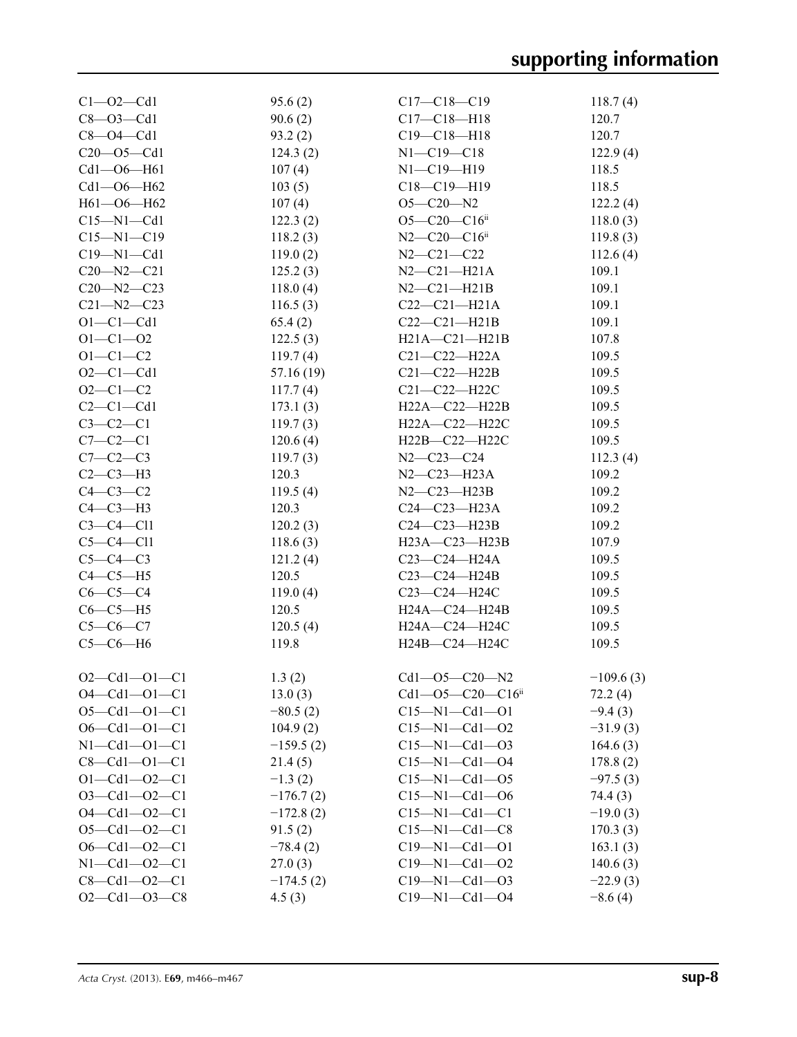| $Cl - O2 - Cd1$      | 95.6(2)     | $C17 - C18 - C19$                  | 118.7(4)    |
|----------------------|-------------|------------------------------------|-------------|
| $C8 - O3 - Cd1$      | 90.6(2)     | $C17 - C18 - H18$                  | 120.7       |
| $C8 - O4 - Cd1$      | 93.2(2)     | $C19 - C18 - H18$                  | 120.7       |
| $C20 - 05 - Cd1$     | 124.3(2)    | $N1 - C19 - C18$                   | 122.9(4)    |
| $Cd1 - O6 - H61$     | 107(4)      | $N1 - C19 - H19$                   | 118.5       |
| $Cd1 - O6 - H62$     | 103(5)      | $C18 - C19 - H19$                  | 118.5       |
| $H61 - O6 - H62$     | 107(4)      | $O5 - C20 - N2$                    | 122.2(4)    |
| $C15 - N1 - Cd1$     | 122.3(2)    | $O5 - C20 - C16$ <sup>ii</sup>     | 118.0(3)    |
| $C15 - N1 - C19$     | 118.2(3)    | $N2$ — $C20$ — $C16$ <sup>ii</sup> | 119.8(3)    |
| $C19 - N1 - Cd1$     | 119.0(2)    | $N2 - C21 - C22$                   | 112.6(4)    |
| $C20 - N2 - C21$     | 125.2(3)    | $N2 - C21 - H21A$                  | 109.1       |
| $C20 - N2 - C23$     | 118.0(4)    | $N2-C21-H21B$                      | 109.1       |
| $C21 - N2 - C23$     | 116.5(3)    | $C22-C21-H21A$                     | 109.1       |
| $O1 - C1 - Cd1$      | 65.4(2)     | $C22-C21-H21B$                     | 109.1       |
| $O1 - C1 - O2$       | 122.5(3)    | $H21A - C21 - H21B$                | 107.8       |
| $O1 - C1 - C2$       | 119.7(4)    | $C21-C22-H22A$                     | 109.5       |
| $O2 - Cl - Cd1$      | 57.16 (19)  | $C21 - C22 - H22B$                 | 109.5       |
| $O2 - C1 - C2$       | 117.7(4)    | C21-C22-H22C                       | 109.5       |
| $C2-C1-Cd1$          | 173.1(3)    | H22A-C22-H22B                      | 109.5       |
| $C3-C2-C1$           | 119.7(3)    | H22A-C22-H22C                      | 109.5       |
| $C7 - C2 - C1$       | 120.6(4)    | H22B-C22-H22C                      | 109.5       |
| $C7-C2-C3$           | 119.7(3)    | $N2 - C23 - C24$                   | 112.3(4)    |
| $C2-C3-H3$           | 120.3       | $N2-C23-H23A$                      | 109.2       |
| $C4-C3-C2$           | 119.5(4)    | $N2-C23-H23B$                      | 109.2       |
| $C4-C3-H3$           | 120.3       | $C24-C23-H23A$                     | 109.2       |
| $C3-C4-C11$          | 120.2(3)    | $C24-C23-H23B$                     | 109.2       |
| $C5-C4-C11$          | 118.6(3)    | $H23A - C23 - H23B$                | 107.9       |
| $C5-C4-C3$           | 121.2(4)    | $C23 - C24 - H24A$                 | 109.5       |
| $C4-C5-H5$           | 120.5       | $C23-C24-H24B$                     | 109.5       |
| $C6-C5-C4$           | 119.0(4)    | C23-C24-H24C                       | 109.5       |
| $C6-C5-H5$           | 120.5       | H24A-C24-H24B                      | 109.5       |
| $C5-C6-C7$           | 120.5(4)    | H24A-C24-H24C                      | 109.5       |
| $C5-C6-H6$           | 119.8       | H24B-C24-H24C                      | 109.5       |
|                      |             |                                    |             |
| $O2 - Cd1 - O1 - C1$ | 1.3(2)      | $Cd1 - O5 - C20 - N2$              | $-109.6(3)$ |
| $O4 - Cd1 - O1 - C1$ | 13.0(3)     | $Cd1 - O5 - C20 - C16$             | 72.2(4)     |
| $O5 - Cd1 - O1 - C1$ | $-80.5(2)$  | $C15 - N1 - Cd1 - O1$              | $-9.4(3)$   |
| $O6 - Cd1 - O1 - C1$ | 104.9(2)    | $C15 - N1 - Cd1 - O2$              | $-31.9(3)$  |
| $N1 - Cd1 - O1 - C1$ | $-159.5(2)$ | $C15 - N1 - Cd1 - O3$              | 164.6(3)    |
| $C8 - Cd1 - O1 - C1$ | 21.4(5)     | $C15 - N1 - Cd1 - O4$              | 178.8(2)    |
| $O1 - Cd1 - O2 - C1$ | $-1.3(2)$   | $C15 - N1 - Cd1 - O5$              | $-97.5(3)$  |
| $O3 - Cd1 - O2 - C1$ | $-176.7(2)$ | $C15 - N1 - Cd1 - O6$              | 74.4 (3)    |
| $O4 - Cd1 - O2 - C1$ | $-172.8(2)$ | $C15-M1-Cd1-C1$                    | $-19.0(3)$  |
| $O5 - Cd1 - O2 - C1$ | 91.5(2)     | $C15 - N1 - Cd1 - C8$              | 170.3(3)    |
| $O6 - Cd1 - O2 - C1$ | $-78.4(2)$  | $C19 - N1 - Cd1 - O1$              | 163.1(3)    |
| $N1 - Cd1 - O2 - C1$ | 27.0(3)     | $C19 - N1 - Cd1 - O2$              | 140.6(3)    |
| $C8 - Cd1 - O2 - C1$ | $-174.5(2)$ | $C19 - N1 - Cd1 - O3$              | $-22.9(3)$  |
| $O2 - Cd1 - O3 - C8$ | 4.5(3)      | $C19 - N1 - Cd1 - O4$              | $-8.6(4)$   |
|                      |             |                                    |             |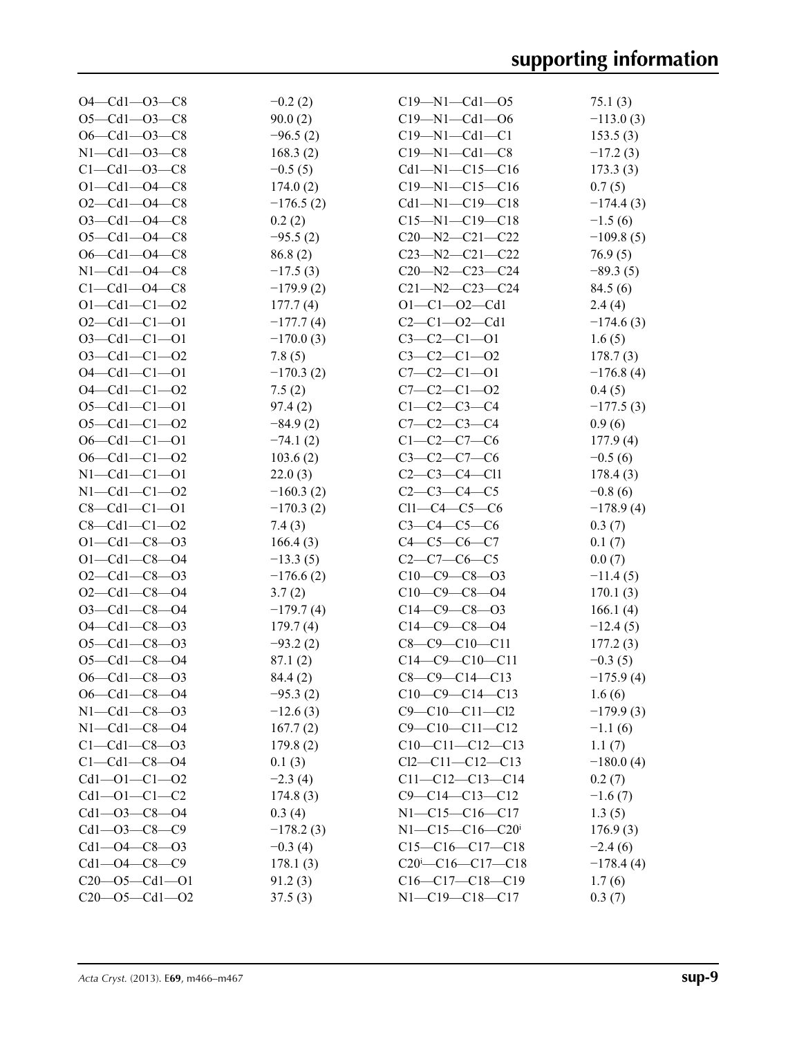| $O4 - Cd1 - O3 - C8$  | $-0.2(2)$   | $C19 - N1 - Cd1 - 05$                      | 75.1(3)     |
|-----------------------|-------------|--------------------------------------------|-------------|
| $O5 - Cd1 - O3 - C8$  | 90.0(2)     | $C19 - N1 - Cd1 - O6$                      | $-113.0(3)$ |
| $O6 - Cd1 - O3 - C8$  | $-96.5(2)$  | $C19 - N1 - Cd1 - C1$                      | 153.5(3)    |
| $N1 - Cd1 - O3 - C8$  | 168.3(2)    | $C19 - N1 - Cd1 - C8$                      | $-17.2(3)$  |
| $C1 - Cd1 - O3 - C8$  | $-0.5(5)$   | $Cd1 - N1 - C15 - C16$                     | 173.3(3)    |
| $O1 - Cd1 - O4 - C8$  | 174.0(2)    | $C19 - N1 - C15 - C16$                     | 0.7(5)      |
| $O2 - Cd1 - O4 - C8$  | $-176.5(2)$ | $Cd1 - N1 - C19 - C18$                     | $-174.4(3)$ |
| $O3 - Cd1 - O4 - C8$  | 0.2(2)      | $C15 - N1 - C19 - C18$                     | $-1.5(6)$   |
| $O5 - Cd1 - O4 - C8$  | $-95.5(2)$  | $C20 - N2 - C21 - C22$                     | $-109.8(5)$ |
| $O6 - Cd1 - O4 - C8$  |             | $C23 - N2 - C21 - C22$                     |             |
| $N1 - Cd1 - O4 - C8$  | 86.8(2)     | $C20 - N2 - C23 - C24$                     | 76.9(5)     |
| $C1 - Cd1 - O4 - C8$  | $-17.5(3)$  | $C21 - N2 - C23 - C24$                     | $-89.3(5)$  |
|                       | $-179.9(2)$ |                                            | 84.5(6)     |
| $O1 - Cd1 - C1 - O2$  | 177.7(4)    | $O1 - C1 - O2 - Cd1$                       | 2.4(4)      |
| $O2 - Cd1 - C1 - O1$  | $-177.7(4)$ | $C2-C1-O2-Cd1$                             | $-174.6(3)$ |
| $O3 - Cd1 - C1 - O1$  | $-170.0(3)$ | $C3-C2-C1-01$                              | 1.6(5)      |
| $O3 - Cd1 - C1 - O2$  | 7.8(5)      | $C3-C2-C1-02$                              | 178.7(3)    |
| $O4 - Cd1 - C1 - O1$  | $-170.3(2)$ | $C7-C2-C1-01$                              | $-176.8(4)$ |
| $O4 - Cd1 - C1 - O2$  | 7.5(2)      | $C7-C2-C1-O2$                              | 0.4(5)      |
| $O5 - Cd1 - Cl - O1$  | 97.4(2)     | $C1-C2-C3-C4$                              | $-177.5(3)$ |
| $O5 - Cd1 - C1 - O2$  | $-84.9(2)$  | $C7 - C2 - C3 - C4$                        | 0.9(6)      |
| $O6 - Cd1 - C1 - O1$  | $-74.1(2)$  | $C1 - C2 - C7 - C6$                        | 177.9(4)    |
| $O6 - Cd1 - C1 - O2$  | 103.6(2)    | $C3-C2-C7-C6$                              | $-0.5(6)$   |
| $N1 - Cd1 - C1 - O1$  | 22.0(3)     | $C2-C3-C4-C11$                             | 178.4(3)    |
| $N1 - Cd1 - C1 - O2$  | $-160.3(2)$ | $C2-C3-C4-C5$                              | $-0.8(6)$   |
| $C8 - Cd1 - C1 - O1$  | $-170.3(2)$ | $Cl1-C4-C5-C6$                             | $-178.9(4)$ |
| $C8 - Cd1 - C1 - 02$  | 7.4(3)      | $C3 - C4 - C5 - C6$                        | 0.3(7)      |
| $O1 - Cd1 - C8 - O3$  | 166.4(3)    | $C4 - C5 - C6 - C7$                        | 0.1(7)      |
| $O1 - Cd1 - C8 - O4$  | $-13.3(5)$  | $C2-C7-C6-C5$                              | 0.0(7)      |
| $O2 - Cd1 - C8 - O3$  | $-176.6(2)$ | $C10-C9-C8-03$                             | $-11.4(5)$  |
| $O2 - Cd1 - C8 - O4$  | 3.7(2)      | $C10-C9-C8-O4$                             | 170.1(3)    |
| $O3 - Cd1 - C8 - O4$  | $-179.7(4)$ | $C14 - C9 - C8 - 03$                       | 166.1 $(4)$ |
| $O4 - Cd1 - C8 - O3$  | 179.7(4)    | $C14-C9-C8-O4$                             | $-12.4(5)$  |
| $O5 - Cd1 - C8 - O3$  | $-93.2(2)$  | $C8 - C9 - C10 - C11$                      | 177.2(3)    |
| $O5 - Cd1 - C8 - O4$  | 87.1(2)     | $C14-C9-C10-C11$                           | $-0.3(5)$   |
| $O6 - Cd1 - C8 - O3$  | 84.4 (2)    | $C8-C9-C14-C13$                            | $-175.9(4)$ |
| $O6 - Cd1 - C8 - O4$  | $-95.3(2)$  | $C10-C9-C14-C13$                           | 1.6(6)      |
| $N1 - Cd1 - C8 - O3$  | $-12.6(3)$  | $C9 - C10 - C11 - C12$                     | $-179.9(3)$ |
| $N1 - Cd1 - C8 - O4$  | 167.7(2)    | $C9 - C10 - C11 - C12$                     | $-1.1(6)$   |
| $C1 - Cd1 - C8 - 03$  | 179.8(2)    | $C10-C11-C12-C13$                          | 1.1(7)      |
| $C1 - Cd1 - C8 - 04$  | 0.1(3)      | $Cl2-C11-C12-C13$                          | $-180.0(4)$ |
| $Cd1 - O1 - C1 - O2$  | $-2.3(4)$   | $C11 - C12 - C13 - C14$                    | 0.2(7)      |
| $Cd1 - O1 - C1 - C2$  | 174.8(3)    | $C9 - C14 - C13 - C12$                     | $-1.6(7)$   |
| $Cd1 - O3 - C8 - O4$  | 0.3(4)      | $N1 - C15 - C16 - C17$                     | 1.3(5)      |
| $Cd1 - O3 - C8 - C9$  | $-178.2(3)$ | $N1 - C15 - C16 - C20$                     | 176.9(3)    |
| $Cd1 - O4 - C8 - O3$  | $-0.3(4)$   | $C15-C16-C17-C18$                          | $-2.4(6)$   |
| $Cd1 - O4 - C8 - C9$  | 178.1(3)    | $C20$ <sup>i</sup> - $C16$ - $C17$ - $C18$ | $-178.4(4)$ |
| $C20 - 05 - Cd1 - 01$ | 91.2(3)     | $C16-C17-C18-C19$                          | 1.7(6)      |
| $C20 - 05 - Cd1 - 02$ | 37.5(3)     | $N1 - C19 - C18 - C17$                     | 0.3(7)      |
|                       |             |                                            |             |